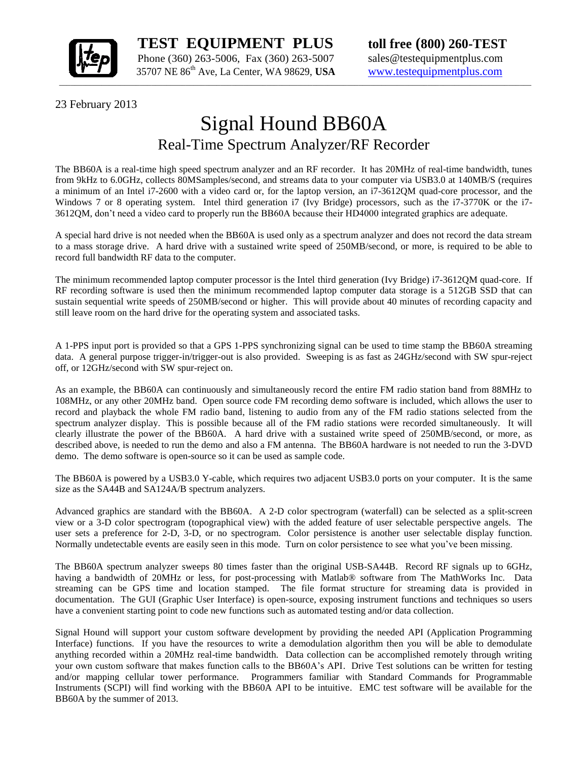

 **TEST EQUIPMENT PLUS toll free (800) 260-TEST** Phone (360) 263-5006, Fax (360) 263-5007 sales@testequipmentplus.com

23 February 2013

## Signal Hound BB60A Real-Time Spectrum Analyzer/RF Recorder

The BB60A is a real-time high speed spectrum analyzer and an RF recorder. It has 20MHz of real-time bandwidth, tunes from 9kHz to 6.0GHz, collects 80MSamples/second, and streams data to your computer via USB3.0 at 140MB/S (requires a minimum of an Intel i7-2600 with a video card or, for the laptop version, an i7-3612QM quad-core processor, and the Windows 7 or 8 operating system. Intel third generation i7 (Ivy Bridge) processors, such as the i7-3770K or the i7-3612QM, don't need a video card to properly run the BB60A because their HD4000 integrated graphics are adequate.

A special hard drive is not needed when the BB60A is used only as a spectrum analyzer and does not record the data stream to a mass storage drive. A hard drive with a sustained write speed of 250MB/second, or more, is required to be able to record full bandwidth RF data to the computer.

The minimum recommended laptop computer processor is the Intel third generation (Ivy Bridge) i7-3612QM quad-core. If RF recording software is used then the minimum recommended laptop computer data storage is a 512GB SSD that can sustain sequential write speeds of 250MB/second or higher. This will provide about 40 minutes of recording capacity and still leave room on the hard drive for the operating system and associated tasks.

A 1-PPS input port is provided so that a GPS 1-PPS synchronizing signal can be used to time stamp the BB60A streaming data. A general purpose trigger-in/trigger-out is also provided. Sweeping is as fast as 24GHz/second with SW spur-reject off, or 12GHz/second with SW spur-reject on.

As an example, the BB60A can continuously and simultaneously record the entire FM radio station band from 88MHz to 108MHz, or any other 20MHz band. Open source code FM recording demo software is included, which allows the user to record and playback the whole FM radio band, listening to audio from any of the FM radio stations selected from the spectrum analyzer display. This is possible because all of the FM radio stations were recorded simultaneously. It will clearly illustrate the power of the BB60A. A hard drive with a sustained write speed of 250MB/second, or more, as described above, is needed to run the demo and also a FM antenna. The BB60A hardware is not needed to run the 3-DVD demo. The demo software is open-source so it can be used as sample code.

The BB60A is powered by a USB3.0 Y-cable, which requires two adjacent USB3.0 ports on your computer. It is the same size as the SA44B and SA124A/B spectrum analyzers.

Advanced graphics are standard with the BB60A. A 2-D color spectrogram (waterfall) can be selected as a split-screen view or a 3-D color spectrogram (topographical view) with the added feature of user selectable perspective angels. The user sets a preference for 2-D, 3-D, or no spectrogram. Color persistence is another user selectable display function. Normally undetectable events are easily seen in this mode. Turn on color persistence to see what you've been missing.

The BB60A spectrum analyzer sweeps 80 times faster than the original USB-SA44B. Record RF signals up to 6GHz, having a bandwidth of 20MHz or less, for post-processing with Matlab® software from The MathWorks Inc. Data streaming can be GPS time and location stamped. The file format structure for streaming data is provided in documentation. The GUI (Graphic User Interface) is open-source, exposing instrument functions and techniques so users have a convenient starting point to code new functions such as automated testing and/or data collection.

Signal Hound will support your custom software development by providing the needed API (Application Programming Interface) functions. If you have the resources to write a demodulation algorithm then you will be able to demodulate anything recorded within a 20MHz real-time bandwidth. Data collection can be accomplished remotely through writing your own custom software that makes function calls to the BB60A's API. Drive Test solutions can be written for testing and/or mapping cellular tower performance. Programmers familiar with Standard Commands for Programmable Instruments (SCPI) will find working with the BB60A API to be intuitive. EMC test software will be available for the BB60A by the summer of 2013.